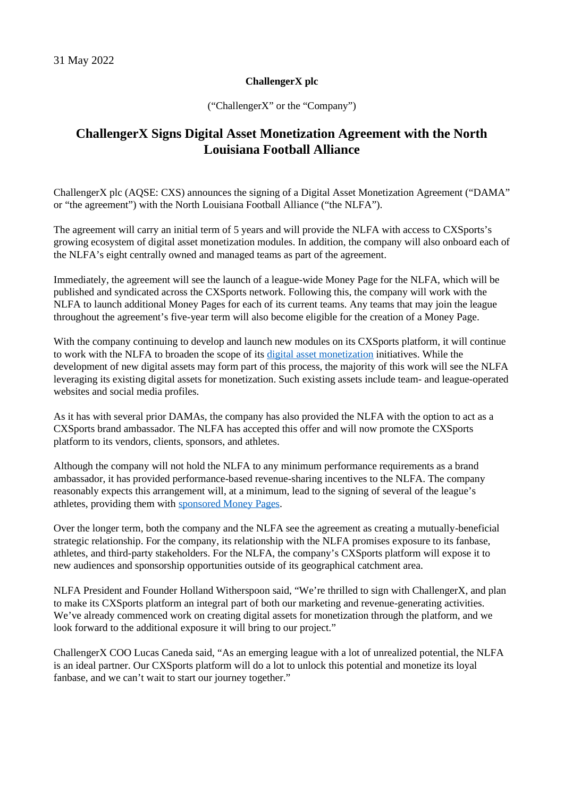## **ChallengerX plc**

("ChallengerX" or the "Company")

## **ChallengerX Signs Digital Asset Monetization Agreement with the North Louisiana Football Alliance**

ChallengerX plc (AQSE: CXS) announces the signing of a Digital Asset Monetization Agreement ("DAMA" or "the agreement") with the North Louisiana Football Alliance ("the NLFA").

The agreement will carry an initial term of 5 years and will provide the NLFA with access to CXSports's growing ecosystem of digital asset monetization modules. In addition, the company will also onboard each of the NLFA's eight centrally owned and managed teams as part of the agreement.

Immediately, the agreement will see the launch of a league-wide Money Page for the NLFA, which will be published and syndicated across the CXSports network. Following this, the company will work with the NLFA to launch additional Money Pages for each of its current teams. Any teams that may join the league throughout the agreement's five-year term will also become eligible for the creation of a Money Page.

With the company continuing to develop and launch new modules on its CXSports platform, it will continue to work with the NLFA to broaden the scope of its [digital asset monetization](https://cxsports.io/) initiatives. While the development of new digital assets may form part of this process, the majority of this work will see the NLFA leveraging its existing digital assets for monetization. Such existing assets include team- and league-operated websites and social media profiles.

As it has with several prior DAMAs, the company has also provided the NLFA with the option to act as a CXSports brand ambassador. The NLFA has accepted this offer and will now promote the CXSports platform to its vendors, clients, sponsors, and athletes.

Although the company will not hold the NLFA to any minimum performance requirements as a brand ambassador, it has provided performance-based revenue-sharing incentives to the NLFA. The company reasonably expects this arrangement will, at a minimum, lead to the signing of several of the league's athletes, providing them with [sponsored Money Pages.](https://cxsports.io/player/official-lucas-caneda-rugby-player-profile/)

Over the longer term, both the company and the NLFA see the agreement as creating a mutually-beneficial strategic relationship. For the company, its relationship with the NLFA promises exposure to its fanbase, athletes, and third-party stakeholders. For the NLFA, the company's CXSports platform will expose it to new audiences and sponsorship opportunities outside of its geographical catchment area.

NLFA President and Founder Holland Witherspoon said, "We're thrilled to sign with ChallengerX, and plan to make its CXSports platform an integral part of both our marketing and revenue-generating activities. We've already commenced work on creating digital assets for monetization through the platform, and we look forward to the additional exposure it will bring to our project."

ChallengerX COO Lucas Caneda said, "As an emerging league with a lot of unrealized potential, the NLFA is an ideal partner. Our CXSports platform will do a lot to unlock this potential and monetize its loyal fanbase, and we can't wait to start our journey together."